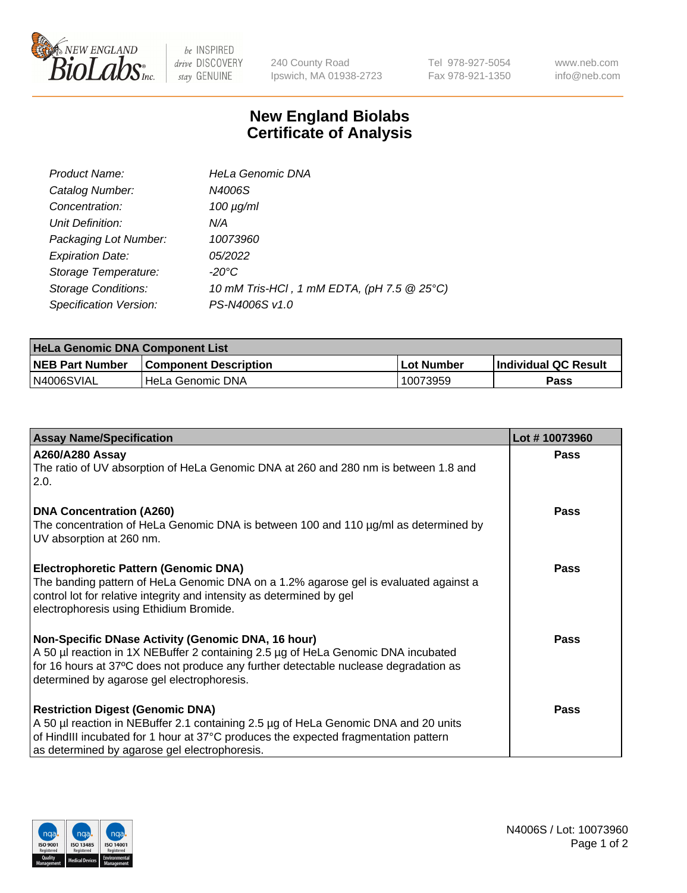

 $be$  INSPIRED drive DISCOVERY stay GENUINE

240 County Road Ipswich, MA 01938-2723 Tel 978-927-5054 Fax 978-921-1350 www.neb.com info@neb.com

## **New England Biolabs Certificate of Analysis**

| Product Name:              | <b>HeLa Genomic DNA</b>                    |
|----------------------------|--------------------------------------------|
| Catalog Number:            | N4006S                                     |
| Concentration:             | $100 \mu g/ml$                             |
| Unit Definition:           | N/A                                        |
| Packaging Lot Number:      | 10073960                                   |
| <b>Expiration Date:</b>    | 05/2022                                    |
| Storage Temperature:       | -20°C                                      |
| <b>Storage Conditions:</b> | 10 mM Tris-HCl, 1 mM EDTA, (pH 7.5 @ 25°C) |
| Specification Version:     | PS-N4006S v1.0                             |

| <b>HeLa Genomic DNA Component List</b> |                              |             |                             |  |  |
|----------------------------------------|------------------------------|-------------|-----------------------------|--|--|
| <b>NEB Part Number</b>                 | <b>Component Description</b> | ⊥Lot Number | <b>Individual QC Result</b> |  |  |
| N4006SVIAL                             | l HeLa Genomic DNA           | 10073959    | Pass                        |  |  |

| <b>Assay Name/Specification</b>                                                                                                                                                                                                                                               | Lot #10073960 |
|-------------------------------------------------------------------------------------------------------------------------------------------------------------------------------------------------------------------------------------------------------------------------------|---------------|
| <b>A260/A280 Assay</b><br>The ratio of UV absorption of HeLa Genomic DNA at 260 and 280 nm is between 1.8 and<br>2.0.                                                                                                                                                         | <b>Pass</b>   |
| <b>DNA Concentration (A260)</b><br>The concentration of HeLa Genomic DNA is between 100 and 110 µg/ml as determined by<br>UV absorption at 260 nm.                                                                                                                            | <b>Pass</b>   |
| <b>Electrophoretic Pattern (Genomic DNA)</b><br>The banding pattern of HeLa Genomic DNA on a 1.2% agarose gel is evaluated against a<br>control lot for relative integrity and intensity as determined by gel<br>electrophoresis using Ethidium Bromide.                      | Pass          |
| Non-Specific DNase Activity (Genomic DNA, 16 hour)<br>A 50 µl reaction in 1X NEBuffer 2 containing 2.5 µg of HeLa Genomic DNA incubated<br>for 16 hours at 37°C does not produce any further detectable nuclease degradation as<br>determined by agarose gel electrophoresis. | <b>Pass</b>   |
| <b>Restriction Digest (Genomic DNA)</b><br>A 50 µl reaction in NEBuffer 2.1 containing 2.5 µg of HeLa Genomic DNA and 20 units<br>of HindIII incubated for 1 hour at 37°C produces the expected fragmentation pattern<br>as determined by agarose gel electrophoresis.        | <b>Pass</b>   |